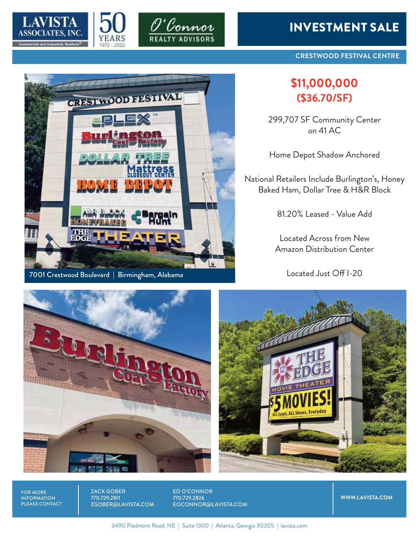



CRESTINOOD FESTIVAL



## INVESTMENT SALE

**CRESTWOOD FESTIVAL CENTRE**

## **\$11,000,000 (\$36.70/SF)**

299,707 SF Community Center on 41 AC

Home Depot Shadow Anchored

National Retailers Include Burlington's, Honey Baked Ham, Dollar Tree & H&R Block

81.20% Leased - Value Add

Located Across from New Amazon Distribution Center

Located Just Off I-20





FOR MORE INFORMATION PLEASE CONTACT ZACK GOBER 770.729.2811 ZGOBER@LAVISTA.COM ED O'CONNOR 770.729.2826 EOCONNOR@LAVISTA.COM

**WWW.LAVISTA.COM**

3490 Piedmont Road, NE | Suite 1300 | Atlanta, Georgia 30305 | lavista.com